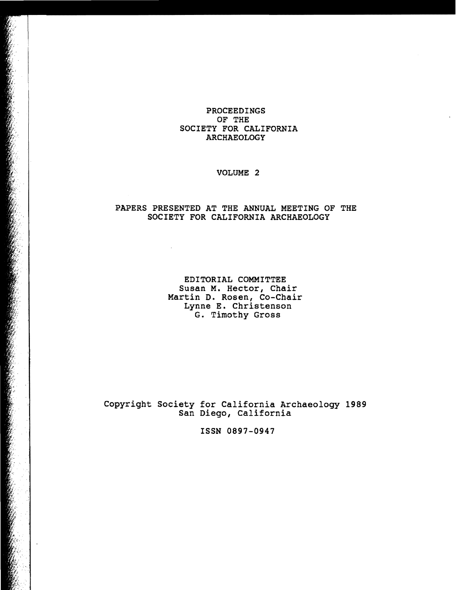## PROCEEDINGS OF THE SOCIETY FOR CALIFORNIA ARCHAEOLOGY

 $\epsilon$ 

# VOLUME 2

#### PAPERS PRESENTED AT THE ANNUAL MEETING OF THE SOCIETY FOR CALIFORNIA ARCHAEOLOGY

 $\sim$ 

 $\ddot{\phantom{a}}$ 

EDITORIAL COMMITTEE Susan M. Hector, Chair Martin D. Rosen, Co-Chair Lynne E. Christenson G. Timothy Gross

Copyright Society for California Archaeology 1989 San Diego, California

ISSN 0897-0947